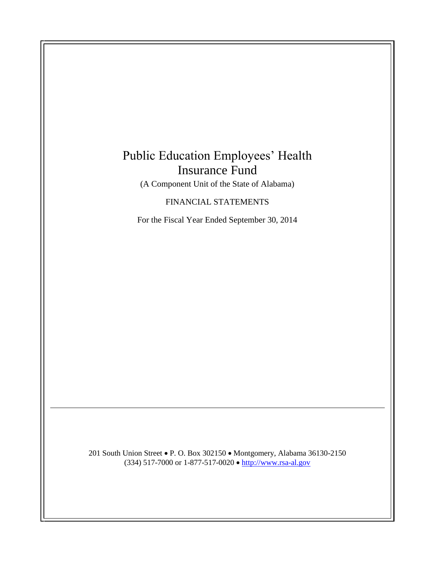## Public Education Employees' Health Insurance Fund

(A Component Unit of the State of Alabama)

## FINANCIAL STATEMENTS

For the Fiscal Year Ended September 30, 2014

201 South Union Street • P. O. Box 302150 • Montgomery, Alabama 36130-2150 (334) 517-7000 or 1-877-517-0020 • [http://www.rsa-al.gov](http://www.rsa-al.gov/)